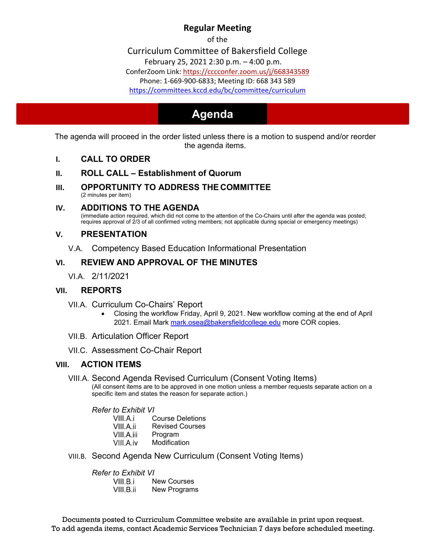# **Regular Meeting**

of the

Curriculum Committee of Bakersfield College

February 25, 2021 2:30 p.m. – 4:00 p.m.

ConferZoom Link: https://cccconfer.zoom.us/j/668343589

Phone: 1‐669‐900‐6833; Meeting ID: 668 343 589

https://committees.kccd.edu/bc/committee/curriculum

# **Agenda Agenda**

The agenda will proceed in the order listed unless there is a motion to suspend and/or reorder the agenda items.

- **I. CALL TO ORDER**
- **II. ROLL CALL Establishment of Quorum**
- **III. OPPORTUNITY TO ADDRESS THE COMMITTEE**  (2 minutes per item)
- **IV. ADDITIONS TO THE AGENDA**

(immediate action required, which did not come to the attention of the Co-Chairs until after the agenda was posted; requires approval of 2/3 of all confirmed voting members; not applicable during special or emergency meetings)

## **V. PRESENTATION**

V.A. Competency Based Education Informational Presentation

## **VI. REVIEW AND APPROVAL OF THE MINUTES**

VI.A. 2/11/2021

## **VII. REPORTS**

- VII.A. Curriculum Co-Chairs' Report
	- Closing the workflow Friday, April 9, 2021. New workflow coming at the end of April 2021. Email Mark mark.osea@bakersfieldcollege.edu more COR copies.
- VII.B. Articulation Officer Report
- VII.C. Assessment Co-Chair Report

## **VIII. ACTION ITEMS**

VIII.A. Second Agenda Revised Curriculum (Consent Voting Items)

(All consent items are to be approved in one motion unless a member requests separate action on a specific item and states the reason for separate action.)

*Refer to Exhibit VI* 

- VIII.A.i Course Deletions
- VIII.A.ii Revised Courses<br>VIII.A.iii Program
- Program
- VIII.A.iv Modification
- VIII.B. Second Agenda New Curriculum (Consent Voting Items)

*Refer to Exhibit VI* 

VIII.B.i New Courses

VIII.B.ii New Programs